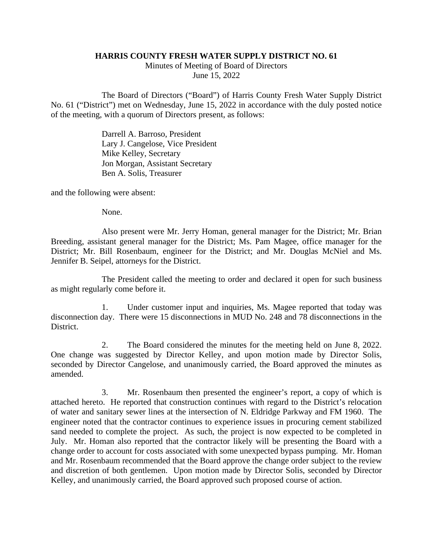## **HARRIS COUNTY FRESH WATER SUPPLY DISTRICT NO. 61**

Minutes of Meeting of Board of Directors June 15, 2022

The Board of Directors ("Board") of Harris County Fresh Water Supply District No. 61 ("District") met on Wednesday, June 15, 2022 in accordance with the duly posted notice of the meeting, with a quorum of Directors present, as follows:

> Darrell A. Barroso, President Lary J. Cangelose, Vice President Mike Kelley, Secretary Jon Morgan, Assistant Secretary Ben A. Solis, Treasurer

and the following were absent:

None.

Also present were Mr. Jerry Homan, general manager for the District; Mr. Brian Breeding, assistant general manager for the District; Ms. Pam Magee, office manager for the District; Mr. Bill Rosenbaum, engineer for the District; and Mr. Douglas McNiel and Ms. Jennifer B. Seipel, attorneys for the District.

The President called the meeting to order and declared it open for such business as might regularly come before it.

1. Under customer input and inquiries, Ms. Magee reported that today was disconnection day. There were 15 disconnections in MUD No. 248 and 78 disconnections in the District.

2. The Board considered the minutes for the meeting held on June 8, 2022. One change was suggested by Director Kelley, and upon motion made by Director Solis, seconded by Director Cangelose, and unanimously carried, the Board approved the minutes as amended.

3. Mr. Rosenbaum then presented the engineer's report, a copy of which is attached hereto. He reported that construction continues with regard to the District's relocation of water and sanitary sewer lines at the intersection of N. Eldridge Parkway and FM 1960. The engineer noted that the contractor continues to experience issues in procuring cement stabilized sand needed to complete the project. As such, the project is now expected to be completed in July. Mr. Homan also reported that the contractor likely will be presenting the Board with a change order to account for costs associated with some unexpected bypass pumping. Mr. Homan and Mr. Rosenbaum recommended that the Board approve the change order subject to the review and discretion of both gentlemen. Upon motion made by Director Solis, seconded by Director Kelley, and unanimously carried, the Board approved such proposed course of action.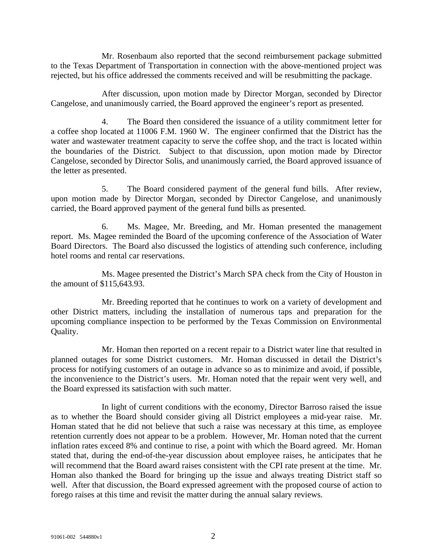Mr. Rosenbaum also reported that the second reimbursement package submitted to the Texas Department of Transportation in connection with the above-mentioned project was rejected, but his office addressed the comments received and will be resubmitting the package.

After discussion, upon motion made by Director Morgan, seconded by Director Cangelose, and unanimously carried, the Board approved the engineer's report as presented.

4. The Board then considered the issuance of a utility commitment letter for a coffee shop located at 11006 F.M. 1960 W. The engineer confirmed that the District has the water and wastewater treatment capacity to serve the coffee shop, and the tract is located within the boundaries of the District. Subject to that discussion, upon motion made by Director Cangelose, seconded by Director Solis, and unanimously carried, the Board approved issuance of the letter as presented.

5. The Board considered payment of the general fund bills. After review, upon motion made by Director Morgan, seconded by Director Cangelose, and unanimously carried, the Board approved payment of the general fund bills as presented.

6. Ms. Magee, Mr. Breeding, and Mr. Homan presented the management report. Ms. Magee reminded the Board of the upcoming conference of the Association of Water Board Directors. The Board also discussed the logistics of attending such conference, including hotel rooms and rental car reservations.

Ms. Magee presented the District's March SPA check from the City of Houston in the amount of \$115,643.93.

Mr. Breeding reported that he continues to work on a variety of development and other District matters, including the installation of numerous taps and preparation for the upcoming compliance inspection to be performed by the Texas Commission on Environmental Quality.

Mr. Homan then reported on a recent repair to a District water line that resulted in planned outages for some District customers. Mr. Homan discussed in detail the District's process for notifying customers of an outage in advance so as to minimize and avoid, if possible, the inconvenience to the District's users. Mr. Homan noted that the repair went very well, and the Board expressed its satisfaction with such matter.

In light of current conditions with the economy, Director Barroso raised the issue as to whether the Board should consider giving all District employees a mid-year raise. Mr. Homan stated that he did not believe that such a raise was necessary at this time, as employee retention currently does not appear to be a problem. However, Mr. Homan noted that the current inflation rates exceed 8% and continue to rise, a point with which the Board agreed. Mr. Homan stated that, during the end-of-the-year discussion about employee raises, he anticipates that he will recommend that the Board award raises consistent with the CPI rate present at the time. Mr. Homan also thanked the Board for bringing up the issue and always treating District staff so well. After that discussion, the Board expressed agreement with the proposed course of action to forego raises at this time and revisit the matter during the annual salary reviews.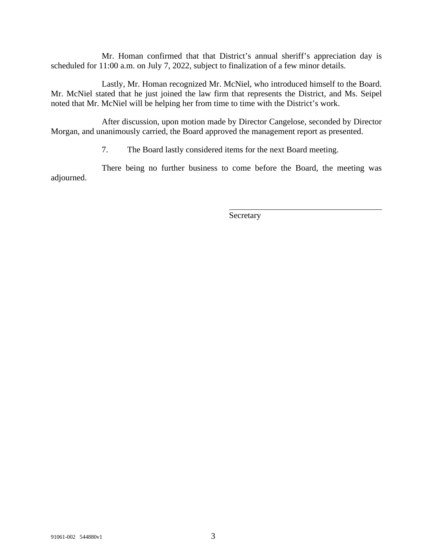Mr. Homan confirmed that that District's annual sheriff's appreciation day is scheduled for 11:00 a.m. on July 7, 2022, subject to finalization of a few minor details.

Lastly, Mr. Homan recognized Mr. McNiel, who introduced himself to the Board. Mr. McNiel stated that he just joined the law firm that represents the District, and Ms. Seipel noted that Mr. McNiel will be helping her from time to time with the District's work.

After discussion, upon motion made by Director Cangelose, seconded by Director Morgan, and unanimously carried, the Board approved the management report as presented.

7. The Board lastly considered items for the next Board meeting.

There being no further business to come before the Board, the meeting was adjourned.

Secretary